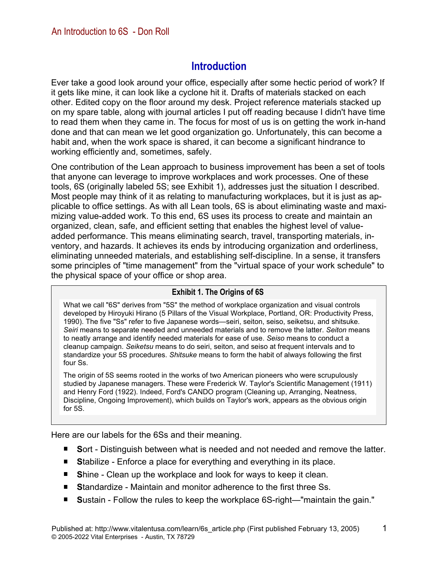# **Introduction**

Ever take a good look around your office, especially after some hectic period of work? If it gets like mine, it can look like a cyclone hit it. Drafts of materials stacked on each other. Edited copy on the floor around my desk. Project reference materials stacked up on my spare table, along with journal articles I put off reading because I didn't have time to read them when they came in. The focus for most of us is on getting the work in-hand done and that can mean we let good organization go. Unfortunately, this can become a habit and, when the work space is shared, it can become a significant hindrance to working efficiently and, sometimes, safely.

One contribution of the Lean approach to business improvement has been a set of tools that anyone can leverage to improve workplaces and work processes. One of these tools, 6S (originally labeled 5S; see Exhibit 1), addresses just the situation I described. Most people may think of it as relating to manufacturing workplaces, but it is just as applicable to office settings. As with all Lean tools, 6S is about eliminating waste and maximizing value-added work. To this end, 6S uses its process to create and maintain an organized, clean, safe, and efficient setting that enables the highest level of valueadded performance. This means eliminating search, travel, transporting materials, inventory, and hazards. It achieves its ends by introducing organization and orderliness, eliminating unneeded materials, and establishing self-discipline. In a sense, it transfers some principles of "time management" from the "virtual space of your work schedule" to the physical space of your office or shop area.

#### **Exhibit 1. The Origins of 6S**

What we call "6S" derives from "5S" the method of workplace organization and visual controls developed by Hiroyuki Hirano (5 Pillars of the Visual Workplace, Portland, OR: Productivity Press, 1990). The five "Ss" refer to five Japanese words—seiri, seiton, seiso, seiketsu, and shitsuke. *Seiri* means to separate needed and unneeded materials and to remove the latter. *Seiton* means to neatly arrange and identify needed materials for ease of use. *Seiso* means to conduct a cleanup campaign. *Seiketsu* means to do seiri, seiton, and seiso at frequent intervals and to standardize your 5S procedures. *Shitsuke* means to form the habit of always following the first four Ss.

The origin of 5S seems rooted in the works of two American pioneers who were scrupulously studied by Japanese managers. These were Frederick W. Taylor's Scientific Management (1911) and Henry Ford (1922). Indeed, Ford's CANDO program (Cleaning up, Arranging, Neatness, Discipline, Ongoing Improvement), which builds on Taylor's work, appears as the obvious origin for 5S.

Here are our labels for the 6Ss and their meaning.

- Sort Distinguish between what is needed and not needed and remove the latter.
- **Stabilize Enforce a place for everything and everything in its place.**
- Shine Clean up the workplace and look for ways to keep it clean.
- Standardize Maintain and monitor adherence to the first three Ss.
- $\blacksquare$ **S**ustain - Follow the rules to keep the workplace 6S-right—"maintain the gain."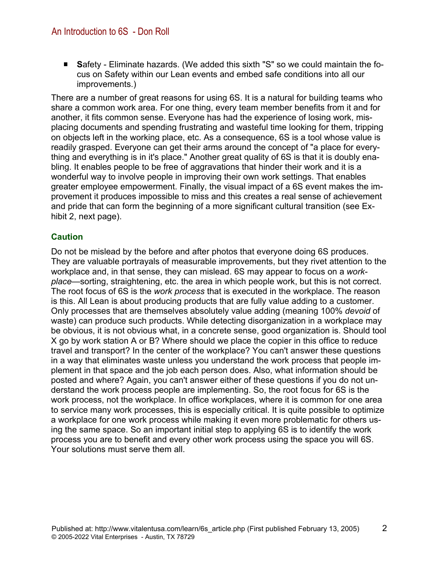**S**afety - Eliminate hazards. (We added this sixth "S" so we could maintain the focus on Safety within our Lean events and embed safe conditions into all our improvements.)

There are a number of great reasons for using 6S. It is a natural for building teams who share a common work area. For one thing, every team member benefits from it and for another, it fits common sense. Everyone has had the experience of losing work, misplacing documents and spending frustrating and wasteful time looking for them, tripping on objects left in the working place, etc. As a consequence, 6S is a tool whose value is readily grasped. Everyone can get their arms around the concept of "a place for everything and everything is in it's place." Another great quality of 6S is that it is doubly enabling. It enables people to be free of aggravations that hinder their work and it is a wonderful way to involve people in improving their own work settings. That enables greater employee empowerment. Finally, the visual impact of a 6S event makes the improvement it produces impossible to miss and this creates a real sense of achievement and pride that can form the beginning of a more significant cultural transition (see Exhibit 2, next page).

### **Caution**

Do not be mislead by the before and after photos that everyone doing 6S produces. They are valuable portrayals of measurable improvements, but they rivet attention to the workplace and, in that sense, they can mislead. 6S may appear to focus on a *workplace*—sorting, straightening, etc. the area in which people work, but this is not correct. The root focus of 6S is the *work process* that is executed in the workplace. The reason is this. All Lean is about producing products that are fully value adding to a customer. Only processes that are themselves absolutely value adding (meaning 100% *devoid* of waste) can produce such products. While detecting disorganization in a workplace may be obvious, it is not obvious what, in a concrete sense, good organization is. Should tool X go by work station A or B? Where should we place the copier in this office to reduce travel and transport? In the center of the workplace? You can't answer these questions in a way that eliminates waste unless you understand the work process that people implement in that space and the job each person does. Also, what information should be posted and where? Again, you can't answer either of these questions if you do not understand the work process people are implementing. So, the root focus for 6S is the work process, not the workplace. In office workplaces, where it is common for one area to service many work processes, this is especially critical. It is quite possible to optimize a workplace for one work process while making it even more problematic for others using the same space. So an important initial step to applying 6S is to identify the work process you are to benefit and every other work process using the space you will 6S. Your solutions must serve them all.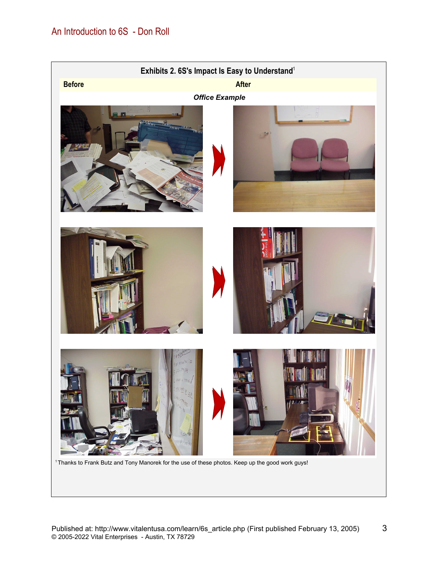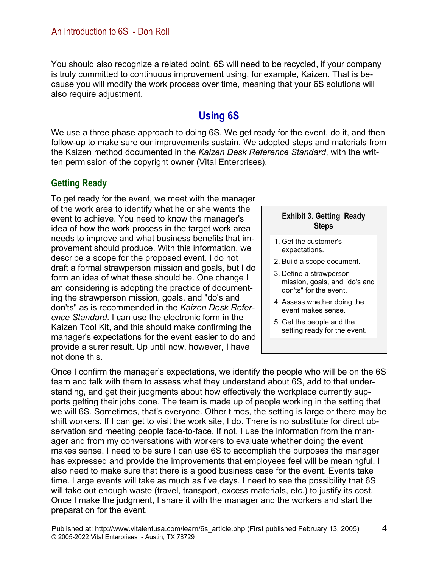You should also recognize a related point. 6S will need to be recycled, if your company is truly committed to continuous improvement using, for example, Kaizen. That is because you will modify the work process over time, meaning that your 6S solutions will also require adjustment.

# **Using 6S**

We use a three phase approach to doing 6S. We get ready for the event, do it, and then follow-up to make sure our improvements sustain. We adopted steps and materials from the Kaizen method documented in the *Kaizen Desk Reference Standard*, with the written permission of the copyright owner (Vital Enterprises).

## **Getting Ready**

To get ready for the event, we meet with the manager of the work area to identify what he or she wants the event to achieve. You need to know the manager's idea of how the work process in the target work area needs to improve and what business benefits that improvement should produce. With this information, we describe a scope for the proposed event. I do not draft a formal strawperson mission and goals, but I do form an idea of what these should be. One change I am considering is adopting the practice of documenting the strawperson mission, goals, and "do's and don'ts" as is recommended in the *Kaizen Desk Reference Standard*. I can use the electronic form in the Kaizen Tool Kit, and this should make confirming the manager's expectations for the event easier to do and provide a surer result. Up until now, however, I have not done this.

#### **Exhibit 3. Getting Ready Steps**

- 1. Get the customer's expectations.
- 2. Build a scope document.
- 3. Define a strawperson mission, goals, and "do's and don'ts" for the event.
- 4. Assess whether doing the event makes sense.
- 5. Get the people and the setting ready for the event.

Once I confirm the manager's expectations, we identify the people who will be on the 6S team and talk with them to assess what they understand about 6S, add to that understanding, and get their judgments about how effectively the workplace currently supports getting their jobs done. The team is made up of people working in the setting that we will 6S. Sometimes, that's everyone. Other times, the setting is large or there may be shift workers. If I can get to visit the work site, I do. There is no substitute for direct observation and meeting people face-to-face. If not, I use the information from the manager and from my conversations with workers to evaluate whether doing the event makes sense. I need to be sure I can use 6S to accomplish the purposes the manager has expressed and provide the improvements that employees feel will be meaningful. I also need to make sure that there is a good business case for the event. Events take time. Large events will take as much as five days. I need to see the possibility that 6S will take out enough waste (travel, transport, excess materials, etc.) to justify its cost. Once I make the judgment, I share it with the manager and the workers and start the preparation for the event.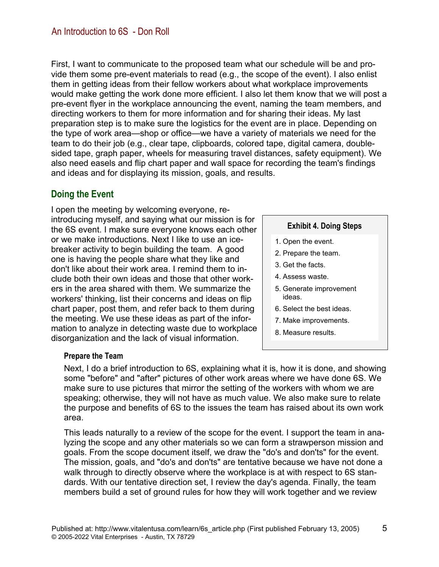First, I want to communicate to the proposed team what our schedule will be and provide them some pre-event materials to read (e.g., the scope of the event). I also enlist them in getting ideas from their fellow workers about what workplace improvements would make getting the work done more efficient. I also let them know that we will post a pre-event flyer in the workplace announcing the event, naming the team members, and directing workers to them for more information and for sharing their ideas. My last preparation step is to make sure the logistics for the event are in place. Depending on the type of work area—shop or office—we have a variety of materials we need for the team to do their job (e.g., clear tape, clipboards, colored tape, digital camera, doublesided tape, graph paper, wheels for measuring travel distances, safety equipment). We also need easels and flip chart paper and wall space for recording the team's findings and ideas and for displaying its mission, goals, and results.

## **Doing the Event**

I open the meeting by welcoming everyone, reintroducing myself, and saying what our mission is for the 6S event. I make sure everyone knows each other or we make introductions. Next I like to use an icebreaker activity to begin building the team. A good one is having the people share what they like and don't like about their work area. I remind them to include both their own ideas and those that other workers in the area shared with them. We summarize the workers' thinking, list their concerns and ideas on flip chart paper, post them, and refer back to them during the meeting. We use these ideas as part of the information to analyze in detecting waste due to workplace disorganization and the lack of visual information.

#### **Exhibit 4. Doing Steps**

- 1. Open the event.
- 2. Prepare the team.
- 3. Get the facts.
- 4. Assess waste.
- 5. Generate improvement ideas.
- 6. Select the best ideas.
- 7. Make improvements.
- 8. Measure results.

#### **Prepare the Team**

Next, I do a brief introduction to 6S, explaining what it is, how it is done, and showing some "before" and "after" pictures of other work areas where we have done 6S. We make sure to use pictures that mirror the setting of the workers with whom we are speaking; otherwise, they will not have as much value. We also make sure to relate the purpose and benefits of 6S to the issues the team has raised about its own work area.

This leads naturally to a review of the scope for the event. I support the team in analyzing the scope and any other materials so we can form a strawperson mission and goals. From the scope document itself, we draw the "do's and don'ts" for the event. The mission, goals, and "do's and don'ts" are tentative because we have not done a walk through to directly observe where the workplace is at with respect to 6S standards. With our tentative direction set, I review the day's agenda. Finally, the team members build a set of ground rules for how they will work together and we review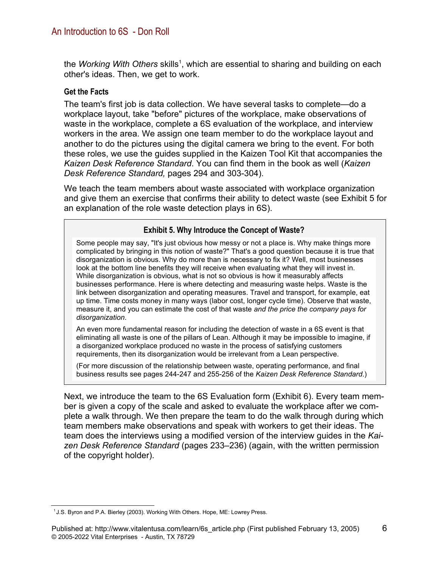the *Working With Others* skills<sup>1</sup>, which are essential to sharing and building on each other's ideas. Then, we get to work.

#### **Get the Facts**

The team's first job is data collection. We have several tasks to complete—do a workplace layout, take "before" pictures of the workplace, make observations of waste in the workplace, complete a 6S evaluation of the workplace, and interview workers in the area. We assign one team member to do the workplace layout and another to do the pictures using the digital camera we bring to the event. For both these roles, we use the guides supplied in the Kaizen Tool Kit that accompanies the *Kaizen Desk Reference Standard*. You can find them in the book as well (*Kaizen Desk Reference Standard,* pages 294 and 303-304).

We teach the team members about waste associated with workplace organization and give them an exercise that confirms their ability to detect waste (see Exhibit 5 for an explanation of the role waste detection plays in 6S).

#### **Exhibit 5. Why Introduce the Concept of Waste?**

Some people may say, "It's just obvious how messy or not a place is. Why make things more complicated by bringing in this notion of waste?" That's a good question because it is true that disorganization is obvious. Why do more than is necessary to fix it? Well, most businesses look at the bottom line benefits they will receive when evaluating what they will invest in. While disorganization is obvious, what is not so obvious is how it measurably affects businesses performance. Here is where detecting and measuring waste helps. Waste is the link between disorganization and operating measures. Travel and transport, for example, eat up time. Time costs money in many ways (labor cost, longer cycle time). Observe that waste, measure it, and you can estimate the cost of that waste *and the price the company pays for disorganization*.

An even more fundamental reason for including the detection of waste in a 6S event is that eliminating all waste is one of the pillars of Lean. Although it may be impossible to imagine, if a disorganized workplace produced no waste in the process of satisfying customers requirements, then its disorganization would be irrelevant from a Lean perspective.

(For more discussion of the relationship between waste, operating performance, and final business results see pages 244-247 and 255-256 of the *Kaizen Desk Reference Standard*.)

Next, we introduce the team to the 6S Evaluation form (Exhibit 6). Every team member is given a copy of the scale and asked to evaluate the workplace after we complete a walk through. We then prepare the team to do the walk through during which team members make observations and speak with workers to get their ideas. The team does the interviews using a modified version of the interview guides in the *Kaizen Desk Reference Standard* (pages 233–236) (again, with the written permission of the copyright holder).

<sup>&</sup>lt;sup>1</sup> J.S. Byron and P.A. Bierley (2003). Working With Others. Hope, ME: Lowrey Press.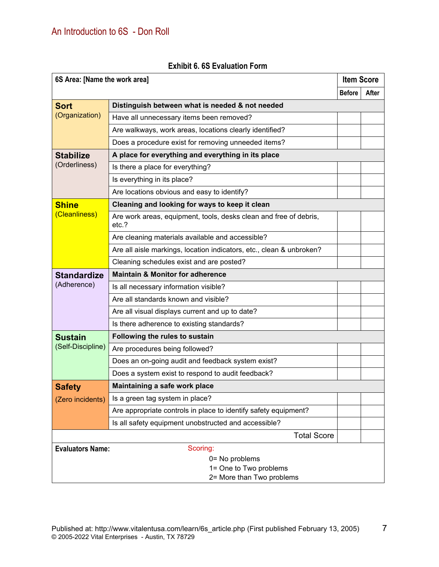| <b>Item Score</b>                   |                                                                            |               |       |  |  |
|-------------------------------------|----------------------------------------------------------------------------|---------------|-------|--|--|
| 6S Area: [Name the work area]       |                                                                            | <b>Before</b> | After |  |  |
| <b>Sort</b>                         | Distinguish between what is needed & not needed                            |               |       |  |  |
| (Organization)                      | Have all unnecessary items been removed?                                   |               |       |  |  |
|                                     |                                                                            |               |       |  |  |
|                                     | Are walkways, work areas, locations clearly identified?                    |               |       |  |  |
|                                     | Does a procedure exist for removing unneeded items?                        |               |       |  |  |
| <b>Stabilize</b><br>(Orderliness)   | A place for everything and everything in its place                         |               |       |  |  |
|                                     | Is there a place for everything?                                           |               |       |  |  |
|                                     | Is everything in its place?                                                |               |       |  |  |
|                                     | Are locations obvious and easy to identify?                                |               |       |  |  |
| <b>Shine</b><br>(Cleanliness)       | Cleaning and looking for ways to keep it clean                             |               |       |  |  |
|                                     | Are work areas, equipment, tools, desks clean and free of debris,<br>etc.? |               |       |  |  |
|                                     | Are cleaning materials available and accessible?                           |               |       |  |  |
|                                     | Are all aisle markings, location indicators, etc., clean & unbroken?       |               |       |  |  |
|                                     | Cleaning schedules exist and are posted?                                   |               |       |  |  |
| <b>Standardize</b><br>(Adherence)   | <b>Maintain &amp; Monitor for adherence</b>                                |               |       |  |  |
|                                     | Is all necessary information visible?                                      |               |       |  |  |
|                                     | Are all standards known and visible?                                       |               |       |  |  |
|                                     | Are all visual displays current and up to date?                            |               |       |  |  |
|                                     | Is there adherence to existing standards?                                  |               |       |  |  |
| <b>Sustain</b><br>(Self-Discipline) | Following the rules to sustain                                             |               |       |  |  |
|                                     | Are procedures being followed?                                             |               |       |  |  |
|                                     | Does an on-going audit and feedback system exist?                          |               |       |  |  |
|                                     | Does a system exist to respond to audit feedback?                          |               |       |  |  |
| <b>Safety</b>                       | Maintaining a safe work place                                              |               |       |  |  |
| (Zero incidents)                    | Is a green tag system in place?                                            |               |       |  |  |
|                                     | Are appropriate controls in place to identify safety equipment?            |               |       |  |  |
|                                     | Is all safety equipment unobstructed and accessible?                       |               |       |  |  |
|                                     | <b>Total Score</b>                                                         |               |       |  |  |
| <b>Evaluators Name:</b><br>Scoring: |                                                                            |               |       |  |  |
| 0= No problems                      |                                                                            |               |       |  |  |
|                                     | 1= One to Two problems                                                     |               |       |  |  |
| 2= More than Two problems           |                                                                            |               |       |  |  |

#### **Exhibit 6. 6S Evaluation Form**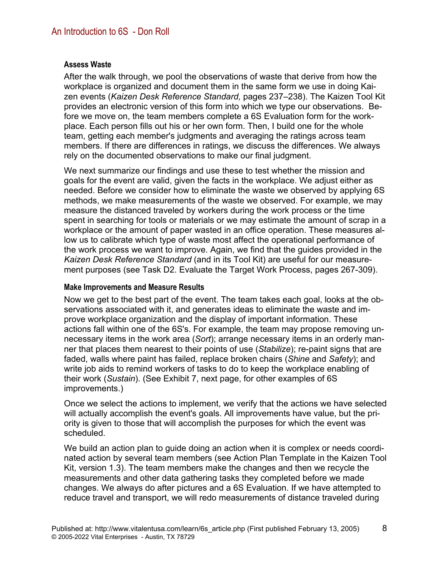#### **Assess Waste**

After the walk through, we pool the observations of waste that derive from how the workplace is organized and document them in the same form we use in doing Kaizen events (*Kaizen Desk Reference Standard,* pages 237–238). The Kaizen Tool Kit provides an electronic version of this form into which we type our observations. Before we move on, the team members complete a 6S Evaluation form for the workplace. Each person fills out his or her own form. Then, I build one for the whole team, getting each member's judgments and averaging the ratings across team members. If there are differences in ratings, we discuss the differences. We always rely on the documented observations to make our final judgment.

We next summarize our findings and use these to test whether the mission and goals for the event are valid, given the facts in the workplace. We adjust either as needed. Before we consider how to eliminate the waste we observed by applying 6S methods, we make measurements of the waste we observed. For example, we may measure the distanced traveled by workers during the work process or the time spent in searching for tools or materials or we may estimate the amount of scrap in a workplace or the amount of paper wasted in an office operation. These measures allow us to calibrate which type of waste most affect the operational performance of the work process we want to improve. Again, we find that the guides provided in the *Kaizen Desk Reference Standard* (and in its Tool Kit) are useful for our measurement purposes (see Task D2. Evaluate the Target Work Process, pages 267-309).

#### **Make Improvements and Measure Results**

Now we get to the best part of the event. The team takes each goal, looks at the observations associated with it, and generates ideas to eliminate the waste and improve workplace organization and the display of important information. These actions fall within one of the 6S's. For example, the team may propose removing unnecessary items in the work area (*Sort*); arrange necessary items in an orderly manner that places them nearest to their points of use (*Stabilize*); re-paint signs that are faded, walls where paint has failed, replace broken chairs (*Shine* and *Safety*); and write job aids to remind workers of tasks to do to keep the workplace enabling of their work (*Sustain*). (See Exhibit 7, next page, for other examples of 6S improvements.)

Once we select the actions to implement, we verify that the actions we have selected will actually accomplish the event's goals. All improvements have value, but the priority is given to those that will accomplish the purposes for which the event was scheduled.

We build an action plan to guide doing an action when it is complex or needs coordinated action by several team members (see Action Plan Template in the Kaizen Tool Kit, version 1.3). The team members make the changes and then we recycle the measurements and other data gathering tasks they completed before we made changes. We always do after pictures and a 6S Evaluation. If we have attempted to reduce travel and transport, we will redo measurements of distance traveled during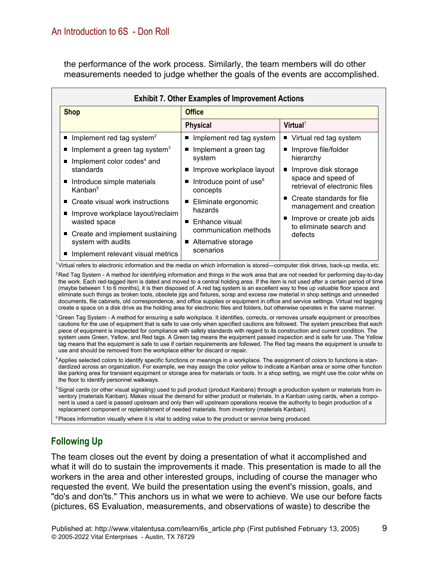the performance of the work process. Similarly, the team members will do other measurements needed to judge whether the goals of the events are accomplished.

| <b>Shop</b>                              | <b>Office</b>                                   |                                                                                               |  |
|------------------------------------------|-------------------------------------------------|-----------------------------------------------------------------------------------------------|--|
|                                          | <b>Physical</b>                                 | Virtual <sup>1</sup>                                                                          |  |
| Implement red tag system <sup>2</sup>    | Implement red tag system                        | ■ Virtual red tag system                                                                      |  |
| Implement a green tag system $3$         | Implement a green tag                           | Improve file/folder<br>hierarchy                                                              |  |
| Implement color codes <sup>4</sup> and   | system                                          |                                                                                               |  |
| standards                                | Improve workplace layout                        | Improve disk storage<br>$\blacksquare$<br>space and speed of<br>retrieval of electronic files |  |
| Introduce simple materials<br>Kanban $5$ | Introduce point of use <sup>6</sup><br>concepts |                                                                                               |  |
| Create visual work instructions<br>п     | Eliminate ergonomic<br>ш                        | Create standards for file<br>п<br>management and creation                                     |  |
| Improve workplace layout/reclaim         | hazards                                         |                                                                                               |  |
| wasted space                             | Enhance visual<br>$\blacksquare$                | Improve or create job aids<br>to eliminate search and<br>defects                              |  |
| ■ Create and implement sustaining        | communication methods                           |                                                                                               |  |
| system with audits                       | Alternative storage<br>$\blacksquare$           |                                                                                               |  |
| Implement relevant visual metrics        | scenarios                                       |                                                                                               |  |

1Virtual refers to electronic information and the media on which information is stored—computer disk drives, back-up media, etc.

<sup>2</sup>Red Tag System - A method for identifying information and things in the work area that are not needed for performing day-to-day the work. Each red-tagged item is dated and moved to a central holding area. If the item is not used after a certain period of time (maybe between 1 to 6 months), it is then disposed of. A red tag system is an excellent way to free up valuable floor space and eliminate such things as broken tools, obsolete jigs and fixtures, scrap and excess raw material in shop settings and unneeded documents, file cabinets, old correspondence, and office supplies or equipment in office and service settings. Virtual red tagging create a space on a disk drive as the holding area for electronic files and folders, but otherwise operates in the same manner.

<sup>3</sup>Green Tag System - A method for ensuring a safe workplace. It identifies, corrects, or removes unsafe equipment or prescribes cautions for the use of equipment that is safe to use only when specified cautions are followed. The system prescribes that each piece of equipment is inspected for compliance with safety standards with regard to its construction and current condition. The system uses Green, Yellow, and Red tags. A Green tag means the equipment passed inspection and is safe for use. The Yellow tag means that the equipment is safe to use if certain requirements are followed. The Red tag means the equipment is unsafe to use and should be removed from the workplace either for discard or repair.

4Applies selected colors to identify specific functions or meanings in a workplace. The assignment of colors to functions is standardized across an organization. For example, we may assign the color yellow to indicate a Kanban area or some other function like parking area for transient equipment or storage area for materials or tools. In a shop setting, we might use the color white on the floor to identify personnel walkways.

<sup>5</sup>Signal cards (or other visual signaling) used to pull product (product Kanbans) through a production system or materials from inventory (materials Kanban). Makes visual the demand for either product or materials. In a Kanban using cards, when a component is used a card is passed upstream and only then will upstream operations receive the authority to begin production of a replacement component or replenishment of needed materials. from inventory (materials Kanban).

<sup>6</sup> Places information visually where it is vital to adding value to the product or service being produced.

## **Following Up**

The team closes out the event by doing a presentation of what it accomplished and what it will do to sustain the improvements it made. This presentation is made to all the workers in the area and other interested groups, including of course the manager who requested the event. We build the presentation using the event's mission, goals, and "do's and don'ts." This anchors us in what we were to achieve. We use our before facts (pictures, 6S Evaluation, measurements, and observations of waste) to describe the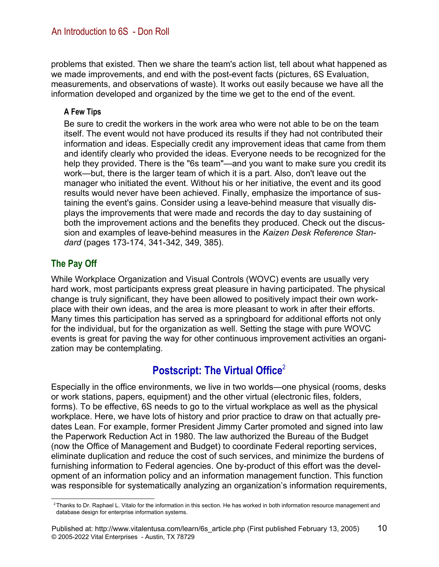problems that existed. Then we share the team's action list, tell about what happened as we made improvements, and end with the post-event facts (pictures, 6S Evaluation, measurements, and observations of waste). It works out easily because we have all the information developed and organized by the time we get to the end of the event.

#### **A Few Tips**

Be sure to credit the workers in the work area who were not able to be on the team itself. The event would not have produced its results if they had not contributed their information and ideas. Especially credit any improvement ideas that came from them and identify clearly who provided the ideas. Everyone needs to be recognized for the help they provided. There is the "6s team"—and you want to make sure you credit its work—but, there is the larger team of which it is a part. Also, don't leave out the manager who initiated the event. Without his or her initiative, the event and its good results would never have been achieved. Finally, emphasize the importance of sustaining the event's gains. Consider using a leave-behind measure that visually displays the improvements that were made and records the day to day sustaining of both the improvement actions and the benefits they produced. Check out the discussion and examples of leave-behind measures in the *Kaizen Desk Reference Standard* (pages 173-174, 341-342, 349, 385).

## **The Pay Off**

While Workplace Organization and Visual Controls (WOVC) events are usually very hard work, most participants express great pleasure in having participated. The physical change is truly significant, they have been allowed to positively impact their own workplace with their own ideas, and the area is more pleasant to work in after their efforts. Many times this participation has served as a springboard for additional efforts not only for the individual, but for the organization as well. Setting the stage with pure WOVC events is great for paving the way for other continuous improvement activities an organization may be contemplating.

# **Postscript: The Virtual Office**<sup>2</sup>

Especially in the office environments, we live in two worlds—one physical (rooms, desks or work stations, papers, equipment) and the other virtual (electronic files, folders, forms). To be effective, 6S needs to go to the virtual workplace as well as the physical workplace. Here, we have lots of history and prior practice to draw on that actually predates Lean. For example, former President Jimmy Carter promoted and signed into law the Paperwork Reduction Act in 1980. The law authorized the Bureau of the Budget (now the Office of Management and Budget) to coordinate Federal reporting services, eliminate duplication and reduce the cost of such services, and minimize the burdens of furnishing information to Federal agencies. One by-product of this effort was the development of an information policy and an information management function. This function was responsible for systematically analyzing an organization's information requirements,

<sup>&</sup>lt;sup>2</sup>Thanks to Dr. Raphael L. Vitalo for the information in this section. He has worked in both information resource management and database design for enterprise information systems.